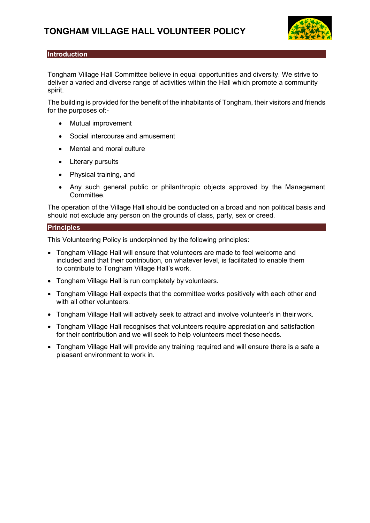

# **Introduction**

Tongham Village Hall Committee believe in equal opportunities and diversity. We strive to deliver a varied and diverse range of activities within the Hall which promote a community spirit.

The building is provided for the benefit of the inhabitants of Tongham, their visitors and friends for the purposes of:-

- Mutual improvement
- Social intercourse and amusement
- Mental and moral culture
- Literary pursuits
- Physical training, and
- Any such general public or philanthropic objects approved by the Management Committee.

The operation of the Village Hall should be conducted on a broad and non political basis and should not exclude any person on the grounds of class, party, sex or creed.

# **Principles**

This Volunteering Policy is underpinned by the following principles:

- Tongham Village Hall will ensure that volunteers are made to feel welcome and included and that their contribution, on whatever level, is facilitated to enable them to contribute to Tongham Village Hall's work.
- Tongham Village Hall is run completely by volunteers.
- Tongham Village Hall expects that the committee works positively with each other and with all other volunteers.
- Tongham Village Hall will actively seek to attract and involve volunteer's in their work.
- Tongham Village Hall recognises that volunteers require appreciation and satisfaction for their contribution and we will seek to help volunteers meet these needs.
- Tongham Village Hall will provide any training required and will ensure there is a safe a pleasant environment to work in.